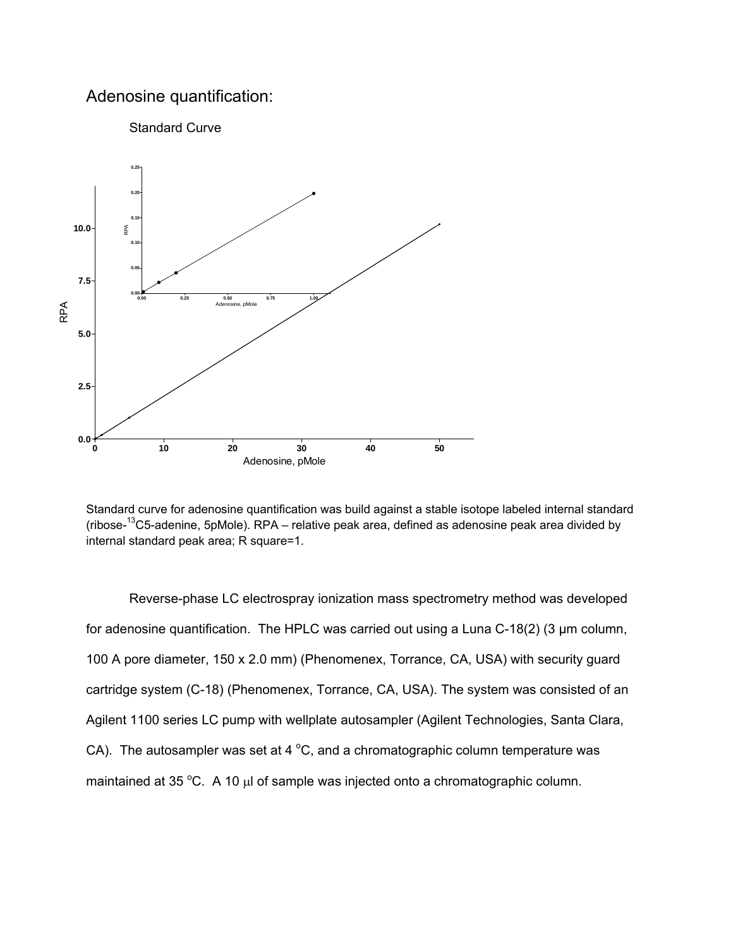## Adenosine quantification:



Standard curve for adenosine quantification was build against a stable isotope labeled internal standard (ribose-13C5-adenine, 5pMole). RPA – relative peak area, defined as adenosine peak area divided by internal standard peak area; R square=1.

Reverse-phase LC electrospray ionization mass spectrometry method was developed for adenosine quantification. The HPLC was carried out using a Luna C-18(2) (3 μm column, 100 A pore diameter, 150 x 2.0 mm) (Phenomenex, Torrance, CA, USA) with security guard cartridge system (C-18) (Phenomenex, Torrance, CA, USA). The system was consisted of an Agilent 1100 series LC pump with wellplate autosampler (Agilent Technologies, Santa Clara, CA). The autosampler was set at 4  $^{\circ}$ C, and a chromatographic column temperature was maintained at 35 °C. A 10  $\mu$ l of sample was injected onto a chromatographic column.